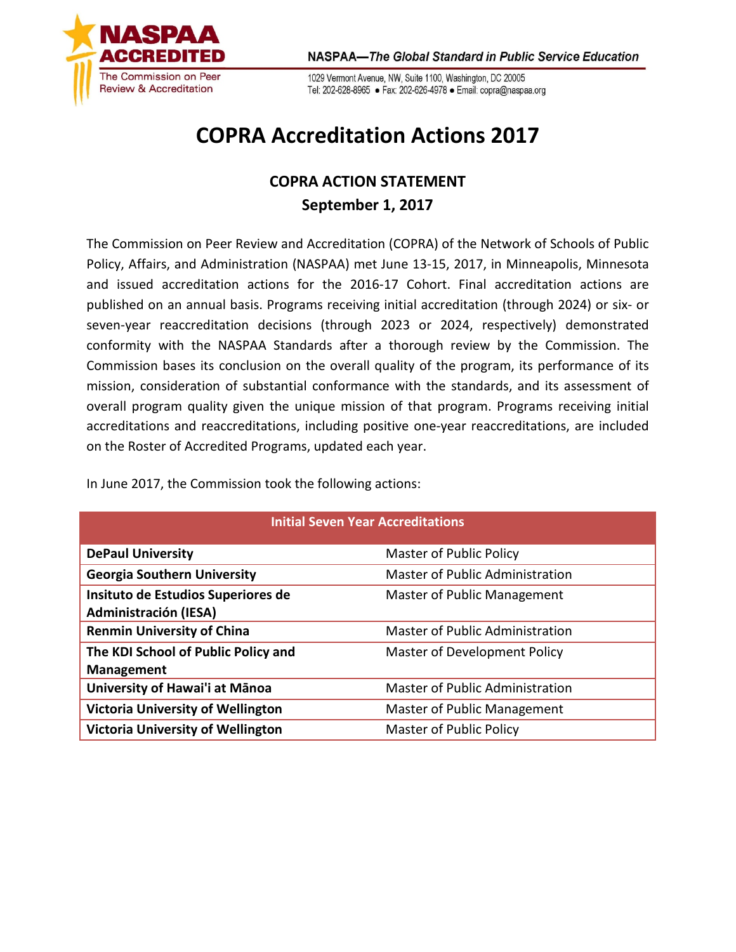

1029 Vermont Avenue, NW, Suite 1100, Washington, DC 20005 Tel: 202-628-8965 · Fax: 202-626-4978 · Email: copra@naspaa.org

## **COPRA Accreditation Actions 2017**

## **COPRA ACTION STATEMENT September 1, 2017**

The Commission on Peer Review and Accreditation (COPRA) of the Network of Schools of Public Policy, Affairs, and Administration (NASPAA) met June 13-15, 2017, in Minneapolis, Minnesota and issued accreditation actions for the 2016-17 Cohort. Final accreditation actions are published on an annual basis. Programs receiving initial accreditation (through 2024) or six- or seven-year reaccreditation decisions (through 2023 or 2024, respectively) demonstrated conformity with the NASPAA Standards after a thorough review by the Commission. The Commission bases its conclusion on the overall quality of the program, its performance of its mission, consideration of substantial conformance with the standards, and its assessment of overall program quality given the unique mission of that program. Programs receiving initial accreditations and reaccreditations, including positive one-year reaccreditations, are included on the Roster of Accredited Programs, updated each year.

| <b>Initial Seven Year Accreditations</b>                           |                                 |  |
|--------------------------------------------------------------------|---------------------------------|--|
| <b>DePaul University</b>                                           | <b>Master of Public Policy</b>  |  |
| <b>Georgia Southern University</b>                                 | Master of Public Administration |  |
| Insituto de Estudios Superiores de<br><b>Administración (IESA)</b> | Master of Public Management     |  |
| <b>Renmin University of China</b>                                  | Master of Public Administration |  |
| The KDI School of Public Policy and<br><b>Management</b>           | Master of Development Policy    |  |
| University of Hawai'i at Mānoa                                     | Master of Public Administration |  |
| <b>Victoria University of Wellington</b>                           | Master of Public Management     |  |
| <b>Victoria University of Wellington</b>                           | <b>Master of Public Policy</b>  |  |

In June 2017, the Commission took the following actions: